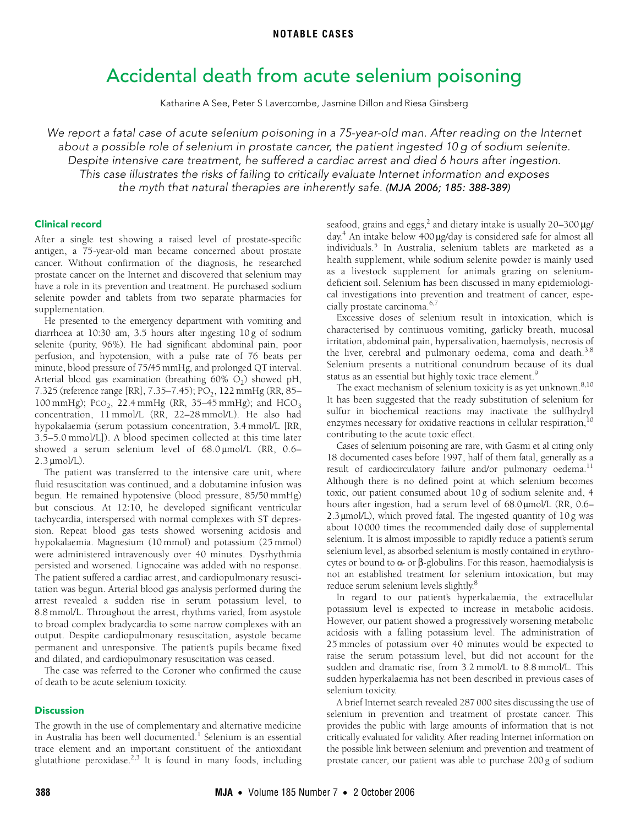# Accidental death from acute selenium poisoning

Katharine A See, Peter S Lavercombe, Jasmine Dillon and Riesa Ginsberg

<span id="page-0-0"></span>We report a fatal case of acute selenium poisoning in a 75-year-old man. After reading on the Internet about a possible role of selenium in prostate cancer, the patient ingested 10 g of sodium selenite. Despite intensive care treatment, he suffered a cardiac arrest and died 6 hours after ingestion. This case illustrates the risks of failing to critically evaluate Internet information and exposes the myth that natural therapies are inherently safe. (MJA 2006; 185: [388](#page-0-0)[-389](#page-1-11))

## Clinical record

selenite powder and tablets from two separate pharmacies for supplementation. After a single test showing a raised level of prostate-specific antigen, a 75-year-old man became concerned about prostate cancer. Without confirmation of the diagnosis, he researched prostate cancer on the Internet and discovered that selenium may have a role in its prevention and treatment. He purchased sodium

He presented to the emergency department with vomiting and diarrhoea at 10:30 am, 3.5 hours after ingesting 10 g of sodium nation at 18.50 km, 3.5 hours after ingesting 10 g or seatant<br>selenite (purity, 96%). He had significant abdominal pain, poor perfusion, and hypotension, with a pulse rate of 76 beats per minute, blood pressure of 75/45 mmHg, and prolonged QT interval. Arterial blood gas examination (breathing  $60\%$  O<sub>2</sub>) showed pH, 7.325 (reference range [RR], 7.35-7.45); PO<sub>2</sub>, 122 mmHg (RR, 85-100 mmHg); PCO<sub>2</sub>, 22.4 mmHg (RR, 35-45 mmHg); and HCO<sub>3</sub> concentration, 11 mmol/L (RR, 22–28 mmol/L). He also had hypokalaemia (serum potassium concentration, 3.4 mmol/L [RR, 3.5–5.0 mmol/L]). A blood specimen collected at this time later showed a serum selenium level of 68.0 μmol/L (RR, 0.6– 2.3 μmol/L).

The patient was transferred to the intensive care unit, where fluid resuscitation was continued, and a dobutamine infusion was begun. He remained hypotensive (blood pressure, 85/50 mmHg) but conscious. At 12:10, he developed significant ventricular tachycardia, interspersed with normal complexes with ST depression. Repeat blood gas tests showed worsening acidosis and hypokalaemia. Magnesium (10 mmol) and potassium (25 mmol) were administered intravenously over 40 minutes. Dysrhythmia persisted and worsened. Lignocaine was added with no response. The patient suffered a cardiac arrest, and cardiopulmonary resuscitation was begun. Arterial blood gas analysis performed during the arrest revealed a sudden rise in serum potassium level, to 8.8 mmol/L. Throughout the arrest, rhythms varied, from asystole to broad complex bradycardia to some narrow complexes with an output. Despite cardiopulmonary resuscitation, asystole became permanent and unresponsive. The patient's pupils became fixed and dilated, and cardiopulmonary resuscitation was ceased.

The case was referred to the Coroner who confirmed the cause of death to be acute selenium toxicity.

#### **Discussion**

The growth in the use of complementary and alternative medicine in Australia has been well documented.<sup>[1](#page-1-0)</sup> Selenium is an essential trace element and an important constituent of the antioxidant glutathione peroxidase.<sup>[2,](#page-1-1)[3](#page-1-2)</sup> It is found in many foods, including

seafood, grains and eggs, $^2$  and dietary intake is usually 20–300  $\mu$ g/ day.[4](#page-1-3) An intake below 400 μg/day is considered safe for almost all individuals.[5](#page-1-4) In Australia, selenium tablets are marketed as a health supplement, while sodium selenite powder is mainly used as a livestock supplement for animals grazing on seleniumdeficient soil. Selenium has been discussed in many epidemiological investigations into prevention and treatment of cancer, especially prostate carcinoma.[6,](#page-1-5)[7](#page-1-6)

Excessive doses of selenium result in intoxication, which is characterised by continuous vomiting, garlicky breath, mucosal irritation, abdominal pain, hypersalivation, haemolysis, necrosis of the liver, cerebral and pulmonary oedema, coma and death.<sup>[3,](#page-1-2)[8](#page-1-7)</sup> Selenium presents a nutritional conundrum because of its dual status as an essential but highly toxic trace element.<sup>[9](#page-1-8)</sup>

The exact mechanism of selenium toxicity is as yet unknown.<sup>[8](#page-1-7)[,10](#page-1-9)</sup> It has been suggested that the ready substitution of selenium for sulfur in biochemical reactions may inactivate the sulfhydryl enzymes necessary for oxidative reactions in cellular respiration,  $10$ contributing to the acute toxic effect.

Cases of selenium poisoning are rare, with Gasmi et al citing only 18 documented cases before 1997, half of them fatal, generally as a result of cardiocirculatory failure and/or pulmonary oedema.<sup>11</sup> Although there is no defined point at which selenium becomes toxic, our patient consumed about 10 g of sodium selenite and, 4 hours after ingestion, had a serum level of 68.0 μmol/L (RR, 0.6– 2.3 μmol/L), which proved fatal. The ingested quantity of 10g was about 10 000 times the recommended daily dose of supplemental selenium. It is almost impossible to rapidly reduce a patient's serum selenium level, as absorbed selenium is mostly contained in erythrocytes or bound to  $α$ - or  $β$ -globulins. For this reason, haemodialysis is not an established treatment for selenium intoxication, but may reduce serum selenium levels slightly.<sup>8</sup>

In regard to our patient's hyperkalaemia, the extracellular potassium level is expected to increase in metabolic acidosis. However, our patient showed a progressively worsening metabolic acidosis with a falling potassium level. The administration of 25 mmoles of potassium over 40 minutes would be expected to raise the serum potassium level, but did not account for the sudden and dramatic rise, from 3.2 mmol/L to 8.8 mmol/L. This sudden hyperkalaemia has not been described in previous cases of selenium toxicity.

A brief Internet search revealed 287 000 sites discussing the use of selenium in prevention and treatment of prostate cancer. This provides the public with large amounts of information that is not critically evaluated for validity. After reading Internet information on the possible link between selenium and prevention and treatment of prostate cancer, our patient was able to purchase 200 g of sodium